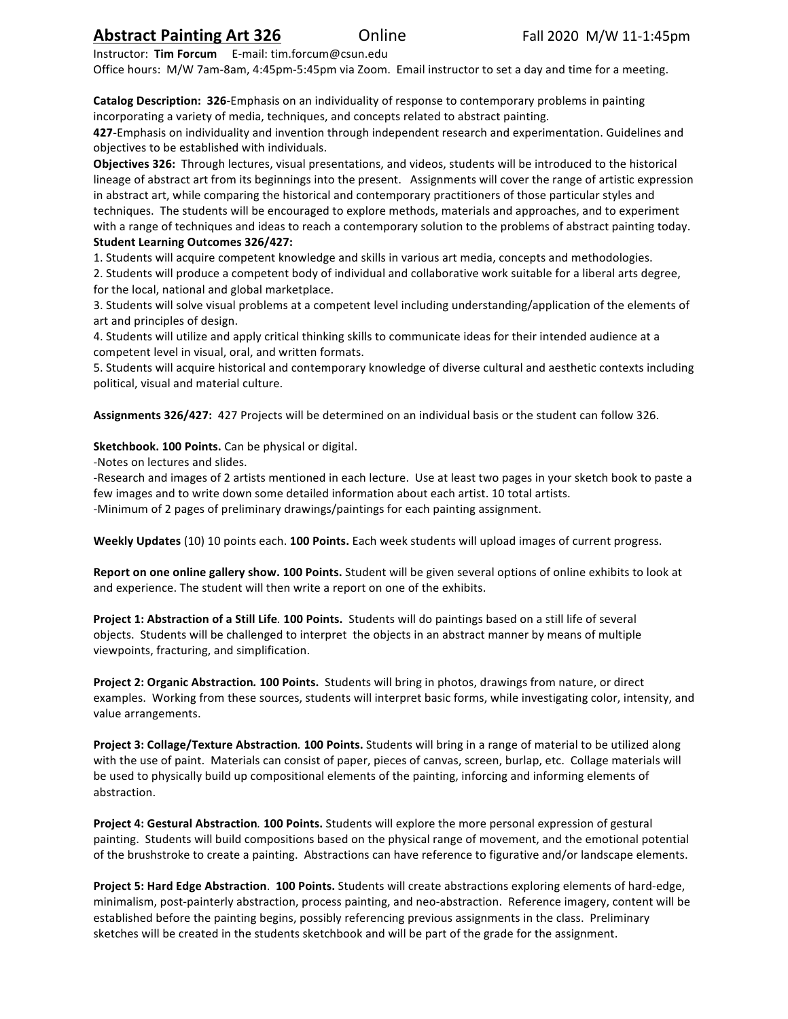# **Abstract Painting Art 326** OnlineFall 2020 M/W 11-1:45pm

Instructor: **Tim Forcum** E-mail: tim.forcum@csun.edu 

Office hours: M/W 7am-8am, 4:45pm-5:45pm via Zoom. Email instructor to set a day and time for a meeting.

**Catalog Description: 326**-Emphasis on an individuality of response to contemporary problems in painting incorporating a variety of media, techniques, and concepts related to abstract painting.

**427**-Emphasis on individuality and invention through independent research and experimentation. Guidelines and objectives to be established with individuals.

**Objectives 326:** Through lectures, visual presentations, and videos, students will be introduced to the historical lineage of abstract art from its beginnings into the present. Assignments will cover the range of artistic expression in abstract art, while comparing the historical and contemporary practitioners of those particular styles and techniques. The students will be encouraged to explore methods, materials and approaches, and to experiment with a range of techniques and ideas to reach a contemporary solution to the problems of abstract painting today.

#### **Student Learning Outcomes 326/427:**

1. Students will acquire competent knowledge and skills in various art media, concepts and methodologies. 2. Students will produce a competent body of individual and collaborative work suitable for a liberal arts degree, for the local, national and global marketplace.

3. Students will solve visual problems at a competent level including understanding/application of the elements of art and principles of design.

4. Students will utilize and apply critical thinking skills to communicate ideas for their intended audience at a competent level in visual, oral, and written formats.

5. Students will acquire historical and contemporary knowledge of diverse cultural and aesthetic contexts including political, visual and material culture.

Assignments 326/427: 427 Projects will be determined on an individual basis or the student can follow 326.

### **Sketchbook. 100 Points.** Can be physical or digital.

-Notes on lectures and slides.

-Research and images of 2 artists mentioned in each lecture. Use at least two pages in your sketch book to paste a few images and to write down some detailed information about each artist. 10 total artists.

-Minimum of 2 pages of preliminary drawings/paintings for each painting assignment.

**Weekly Updates** (10) 10 points each. 100 Points. Each week students will upload images of current progress.

Report on one online gallery show. 100 Points. Student will be given several options of online exhibits to look at and experience. The student will then write a report on one of the exhibits.

**Project 1: Abstraction of a Still Life. 100 Points.** Students will do paintings based on a still life of several objects. Students will be challenged to interpret the objects in an abstract manner by means of multiple viewpoints, fracturing, and simplification.

**Project 2: Organic Abstraction. 100 Points.** Students will bring in photos, drawings from nature, or direct examples. Working from these sources, students will interpret basic forms, while investigating color, intensity, and value arrangements.

**Project 3: Collage/Texture Abstraction. 100 Points.** Students will bring in a range of material to be utilized along with the use of paint. Materials can consist of paper, pieces of canvas, screen, burlap, etc. Collage materials will be used to physically build up compositional elements of the painting, inforcing and informing elements of abstraction.

**Project 4: Gestural Abstraction. 100 Points.** Students will explore the more personal expression of gestural painting. Students will build compositions based on the physical range of movement, and the emotional potential of the brushstroke to create a painting. Abstractions can have reference to figurative and/or landscape elements.

**Project 5: Hard Edge Abstraction. 100 Points.** Students will create abstractions exploring elements of hard-edge, minimalism, post-painterly abstraction, process painting, and neo-abstraction. Reference imagery, content will be established before the painting begins, possibly referencing previous assignments in the class. Preliminary sketches will be created in the students sketchbook and will be part of the grade for the assignment.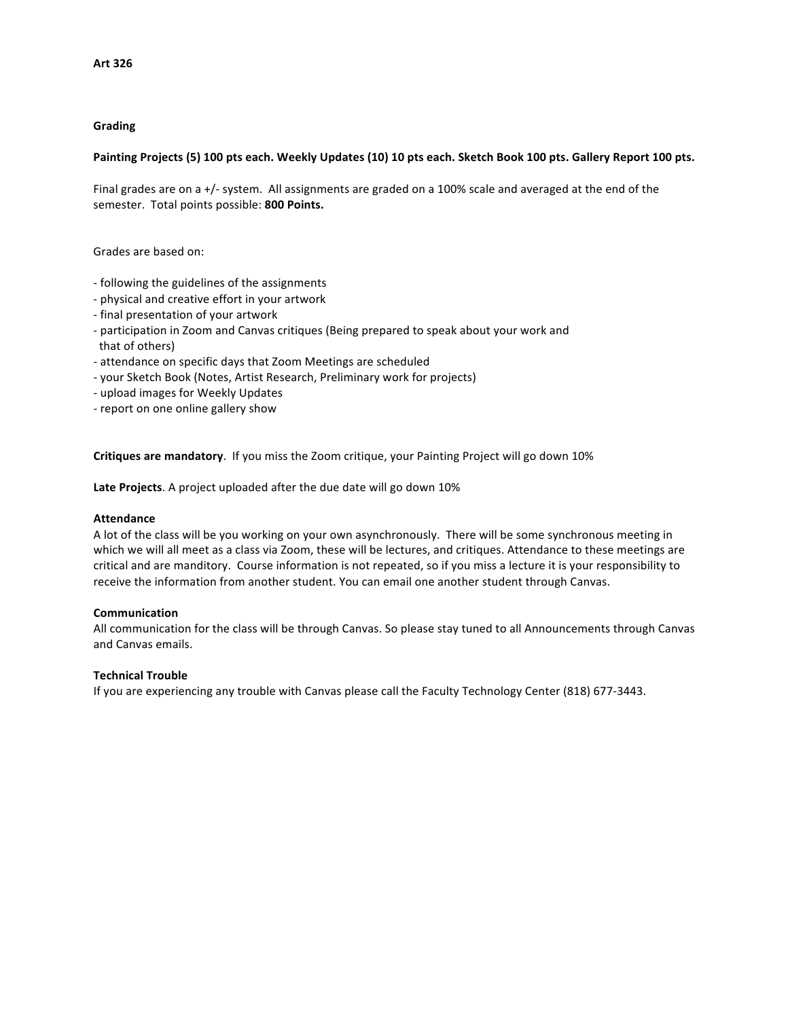#### **Grading**

#### Painting Projects (5) 100 pts each. Weekly Updates (10) 10 pts each. Sketch Book 100 pts. Gallery Report 100 pts.

Final grades are on a +/- system. All assignments are graded on a 100% scale and averaged at the end of the semester. Total points possible: 800 Points.

Grades are based on:

- following the guidelines of the assignments
- physical and creative effort in your artwork
- final presentation of your artwork
- participation in Zoom and Canvas critiques (Being prepared to speak about your work and that of others)
- attendance on specific days that Zoom Meetings are scheduled
- your Sketch Book (Notes, Artist Research, Preliminary work for projects)
- upload images for Weekly Updates
- report on one online gallery show

**Critiques are mandatory**. If you miss the Zoom critique, your Painting Project will go down 10%

Late Projects. A project uploaded after the due date will go down 10%

#### **Attendance**

A lot of the class will be you working on your own asynchronously. There will be some synchronous meeting in which we will all meet as a class via Zoom, these will be lectures, and critiques. Attendance to these meetings are critical and are manditory. Course information is not repeated, so if you miss a lecture it is your responsibility to receive the information from another student. You can email one another student through Canvas.

#### **Communication**

All communication for the class will be through Canvas. So please stay tuned to all Announcements through Canvas and Canvas emails.

#### **Technical Trouble**

If you are experiencing any trouble with Canvas please call the Faculty Technology Center (818) 677-3443.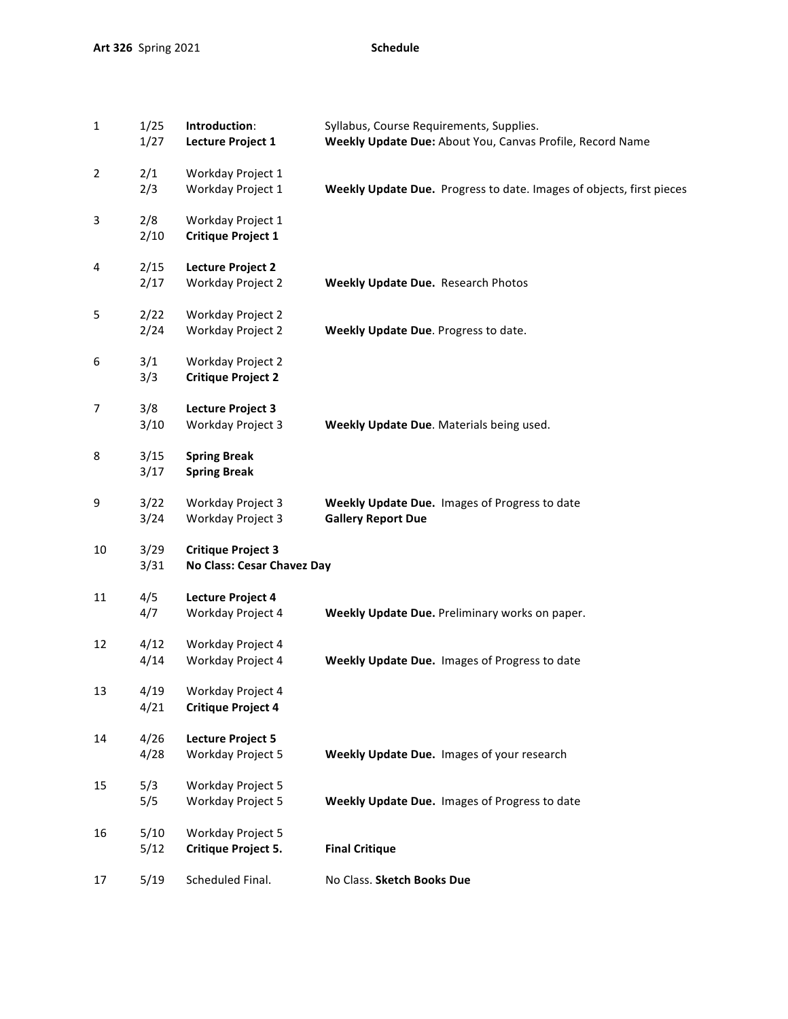| $\mathbf 1$    | 1/25<br>1/27 | Introduction:<br><b>Lecture Project 1</b>               | Syllabus, Course Requirements, Supplies.<br>Weekly Update Due: About You, Canvas Profile, Record Name |
|----------------|--------------|---------------------------------------------------------|-------------------------------------------------------------------------------------------------------|
| $\overline{2}$ | 2/1<br>2/3   | Workday Project 1<br>Workday Project 1                  | Weekly Update Due. Progress to date. Images of objects, first pieces                                  |
| 3              | 2/8<br>2/10  | Workday Project 1<br><b>Critique Project 1</b>          |                                                                                                       |
| 4              | 2/15<br>2/17 | <b>Lecture Project 2</b><br>Workday Project 2           | Weekly Update Due. Research Photos                                                                    |
| 5              | 2/22<br>2/24 | Workday Project 2<br>Workday Project 2                  | Weekly Update Due. Progress to date.                                                                  |
| 6              | 3/1<br>3/3   | Workday Project 2<br><b>Critique Project 2</b>          |                                                                                                       |
| 7              | 3/8<br>3/10  | Lecture Project 3<br>Workday Project 3                  | Weekly Update Due. Materials being used.                                                              |
| 8              | 3/15<br>3/17 | <b>Spring Break</b><br><b>Spring Break</b>              |                                                                                                       |
| 9              | 3/22<br>3/24 | Workday Project 3<br>Workday Project 3                  | Weekly Update Due. Images of Progress to date<br><b>Gallery Report Due</b>                            |
| 10             | 3/29<br>3/31 | <b>Critique Project 3</b><br>No Class: Cesar Chavez Day |                                                                                                       |
| 11             | 4/5<br>4/7   | <b>Lecture Project 4</b><br>Workday Project 4           | Weekly Update Due. Preliminary works on paper.                                                        |
| 12             | 4/12<br>4/14 | Workday Project 4<br>Workday Project 4                  | Weekly Update Due. Images of Progress to date                                                         |
| 13             | 4/19<br>4/21 | Workday Project 4<br><b>Critique Project 4</b>          |                                                                                                       |
| 14             | 4/26<br>4/28 | <b>Lecture Project 5</b><br><b>Workday Project 5</b>    | Weekly Update Due. Images of your research                                                            |
| 15             | 5/3<br>5/5   | Workday Project 5<br>Workday Project 5                  | Weekly Update Due. Images of Progress to date                                                         |
| 16             | 5/10<br>5/12 | Workday Project 5<br>Critique Project 5.                | <b>Final Critique</b>                                                                                 |
| 17             | 5/19         | Scheduled Final.                                        | No Class. Sketch Books Due                                                                            |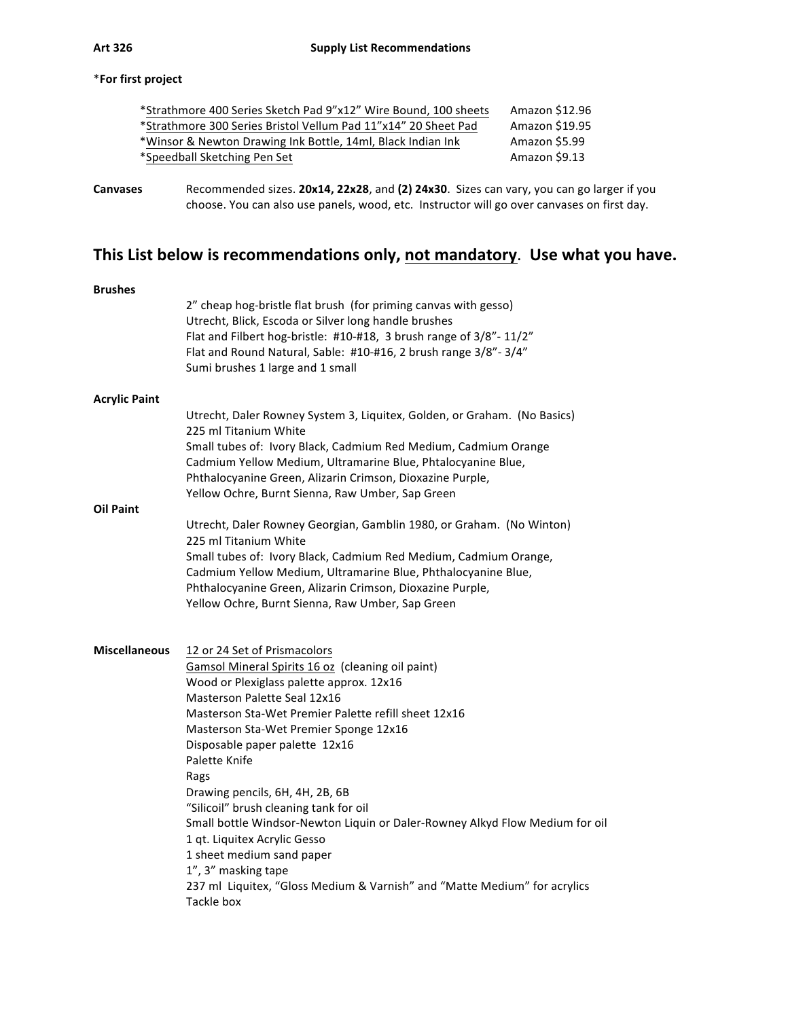### \***For first project**

| *Strathmore 400 Series Sketch Pad 9"x12" Wire Bound, 100 sheets | Amazon \$12.96 |
|-----------------------------------------------------------------|----------------|
| *Strathmore 300 Series Bristol Vellum Pad 11"x14" 20 Sheet Pad  | Amazon \$19.95 |
| *Winsor & Newton Drawing Ink Bottle, 14ml, Black Indian Ink     | Amazon \$5.99  |
| *Speedball Sketching Pen Set                                    | Amazon \$9.13  |
|                                                                 |                |

**Canvases** Recommended sizes. 20x14, 22x28, and (2) 24x30. Sizes can vary, you can go larger if you choose. You can also use panels, wood, etc. Instructor will go over canvases on first day.

# This List below is recommendations only, not mandatory. Use what you have.

|                      | 2" cheap hog-bristle flat brush (for priming canvas with gesso)                                                                                                                                                                                                                                                                                       |
|----------------------|-------------------------------------------------------------------------------------------------------------------------------------------------------------------------------------------------------------------------------------------------------------------------------------------------------------------------------------------------------|
|                      | Utrecht, Blick, Escoda or Silver long handle brushes<br>Flat and Filbert hog-bristle: #10-#18, 3 brush range of 3/8"- 11/2"<br>Flat and Round Natural, Sable: #10-#16, 2 brush range 3/8"-3/4"<br>Sumi brushes 1 large and 1 small                                                                                                                    |
| <b>Acrylic Paint</b> |                                                                                                                                                                                                                                                                                                                                                       |
|                      | Utrecht, Daler Rowney System 3, Liquitex, Golden, or Graham. (No Basics)<br>225 ml Titanium White<br>Small tubes of: Ivory Black, Cadmium Red Medium, Cadmium Orange<br>Cadmium Yellow Medium, Ultramarine Blue, Phtalocyanine Blue,<br>Phthalocyanine Green, Alizarin Crimson, Dioxazine Purple,<br>Yellow Ochre, Burnt Sienna, Raw Umber, Sap Green |
| <b>Oil Paint</b>     |                                                                                                                                                                                                                                                                                                                                                       |
|                      | Utrecht, Daler Rowney Georgian, Gamblin 1980, or Graham. (No Winton)<br>225 ml Titanium White<br>Small tubes of: Ivory Black, Cadmium Red Medium, Cadmium Orange,<br>Cadmium Yellow Medium, Ultramarine Blue, Phthalocyanine Blue,<br>Phthalocyanine Green, Alizarin Crimson, Dioxazine Purple,<br>Yellow Ochre, Burnt Sienna, Raw Umber, Sap Green   |
|                      |                                                                                                                                                                                                                                                                                                                                                       |
| <b>Miscellaneous</b> |                                                                                                                                                                                                                                                                                                                                                       |
|                      | 12 or 24 Set of Prismacolors<br>Gamsol Mineral Spirits 16 oz (cleaning oil paint)                                                                                                                                                                                                                                                                     |
|                      | Wood or Plexiglass palette approx. 12x16                                                                                                                                                                                                                                                                                                              |
|                      | <b>Masterson Palette Seal 12x16</b>                                                                                                                                                                                                                                                                                                                   |
|                      | Masterson Sta-Wet Premier Palette refill sheet 12x16                                                                                                                                                                                                                                                                                                  |
|                      | Masterson Sta-Wet Premier Sponge 12x16<br>Disposable paper palette 12x16                                                                                                                                                                                                                                                                              |
|                      | Palette Knife<br>Rags                                                                                                                                                                                                                                                                                                                                 |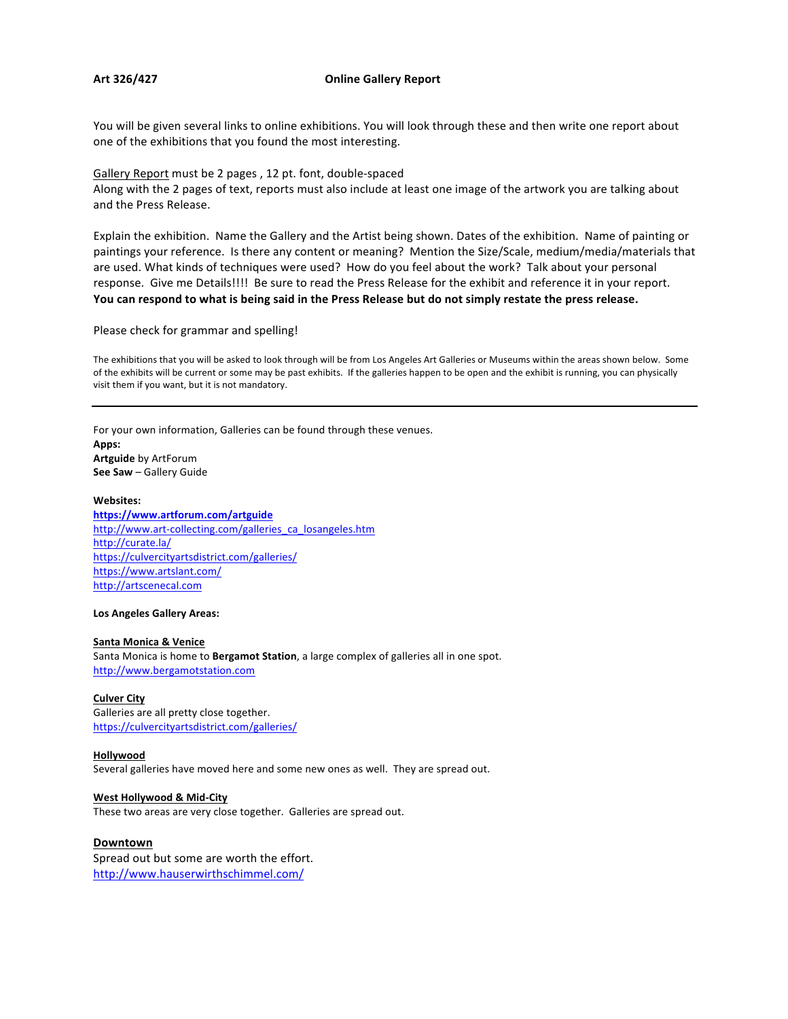#### Art 326/427 **Conserversity Contract Conduct Conduct Conduct Conduct Conduct Conduct Conduct Conduct Conduct Conduct Conduct Conduct Conduct Conduct Conduct Conduct Conduct Conduct Conduct Conduct Conduct Conduct Conduct**

You will be given several links to online exhibitions. You will look through these and then write one report about one of the exhibitions that you found the most interesting.

Gallery Report must be 2 pages, 12 pt. font, double-spaced Along with the 2 pages of text, reports must also include at least one image of the artwork you are talking about and the Press Release.

Explain the exhibition. Name the Gallery and the Artist being shown. Dates of the exhibition. Name of painting or paintings your reference. Is there any content or meaning? Mention the Size/Scale, medium/media/materials that are used. What kinds of techniques were used? How do you feel about the work? Talk about your personal response. Give me Details!!!! Be sure to read the Press Release for the exhibit and reference it in your report. You can respond to what is being said in the Press Release but do not simply restate the press release.

#### Please check for grammar and spelling!

The exhibitions that you will be asked to look through will be from Los Angeles Art Galleries or Museums within the areas shown below. Some of the exhibits will be current or some may be past exhibits. If the galleries happen to be open and the exhibit is running, you can physically visit them if you want, but it is not mandatory.

For your own information, Galleries can be found through these venues. **Apps: Artguide** by ArtForum **See Saw** – Gallery Guide

#### **Websites:**

**https://www.artforum.com/artguide** http://www.art-collecting.com/galleries\_ca\_losangeles.htm http://curate.la/ https://culvercityartsdistrict.com/galleries/ https://www.artslant.com/ http://artscenecal.com

#### **Los Angeles Gallery Areas:**

#### **Santa Monica & Venice**

Santa Monica is home to **Bergamot Station**, a large complex of galleries all in one spot. http://www.bergamotstation.com

#### **Culver City**

Galleries are all pretty close together. https://culvercityartsdistrict.com/galleries/

#### **Hollywood**

Several galleries have moved here and some new ones as well. They are spread out.

#### **West Hollywood & Mid-City**

These two areas are very close together. Galleries are spread out.

#### **Downtown**

Spread out but some are worth the effort. http://www.hauserwirthschimmel.com/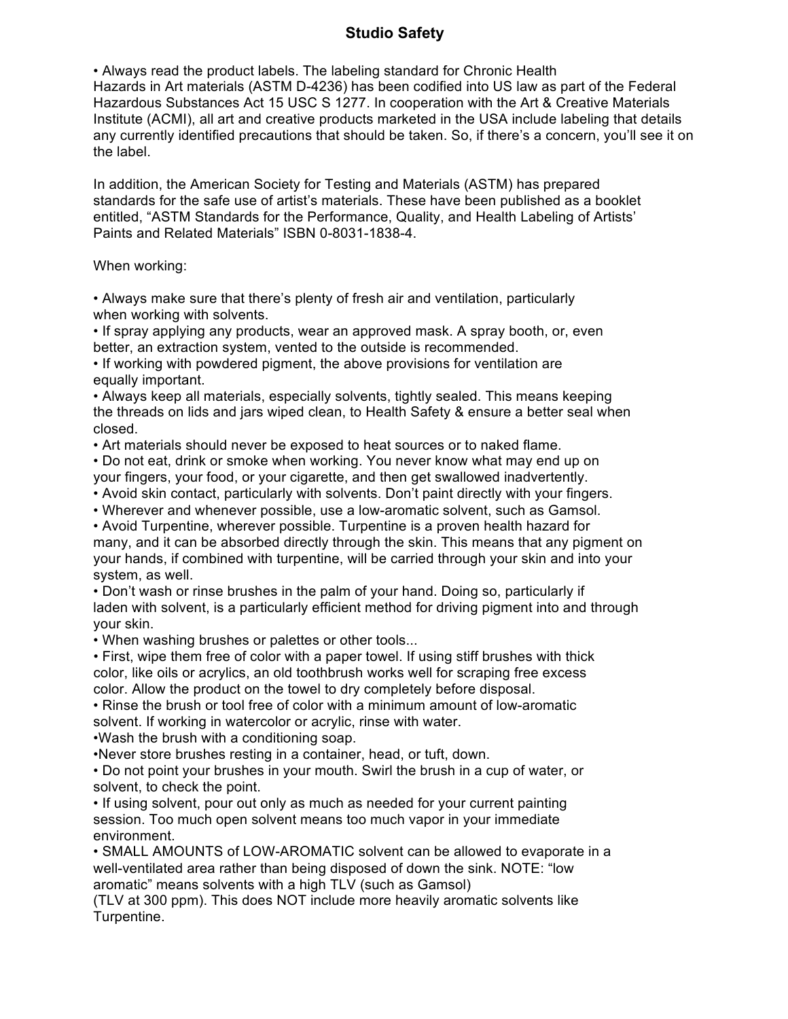## **Studio Safety**

• Always read the product labels. The labeling standard for Chronic Health Hazards in Art materials (ASTM D-4236) has been codified into US law as part of the Federal Hazardous Substances Act 15 USC S 1277. In cooperation with the Art & Creative Materials Institute (ACMI), all art and creative products marketed in the USA include labeling that details any currently identified precautions that should be taken. So, if there's a concern, you'll see it on the label.

In addition, the American Society for Testing and Materials (ASTM) has prepared standards for the safe use of artist's materials. These have been published as a booklet entitled, "ASTM Standards for the Performance, Quality, and Health Labeling of Artists' Paints and Related Materials" ISBN 0-8031-1838-4.

When working:

• Always make sure that there's plenty of fresh air and ventilation, particularly when working with solvents.

• If spray applying any products, wear an approved mask. A spray booth, or, even better, an extraction system, vented to the outside is recommended.

• If working with powdered pigment, the above provisions for ventilation are equally important.

• Always keep all materials, especially solvents, tightly sealed. This means keeping the threads on lids and jars wiped clean, to Health Safety & ensure a better seal when closed.

• Art materials should never be exposed to heat sources or to naked flame.

• Do not eat, drink or smoke when working. You never know what may end up on your fingers, your food, or your cigarette, and then get swallowed inadvertently.

• Avoid skin contact, particularly with solvents. Don't paint directly with your fingers.

• Wherever and whenever possible, use a low-aromatic solvent, such as Gamsol.

• Avoid Turpentine, wherever possible. Turpentine is a proven health hazard for many, and it can be absorbed directly through the skin. This means that any pigment on your hands, if combined with turpentine, will be carried through your skin and into your system, as well.

• Don't wash or rinse brushes in the palm of your hand. Doing so, particularly if laden with solvent, is a particularly efficient method for driving pigment into and through your skin.

• When washing brushes or palettes or other tools...

• First, wipe them free of color with a paper towel. If using stiff brushes with thick color, like oils or acrylics, an old toothbrush works well for scraping free excess color. Allow the product on the towel to dry completely before disposal.

• Rinse the brush or tool free of color with a minimum amount of low-aromatic solvent. If working in watercolor or acrylic, rinse with water.

•Wash the brush with a conditioning soap.

•Never store brushes resting in a container, head, or tuft, down.

• Do not point your brushes in your mouth. Swirl the brush in a cup of water, or solvent, to check the point.

• If using solvent, pour out only as much as needed for your current painting session. Too much open solvent means too much vapor in your immediate environment.

• SMALL AMOUNTS of LOW-AROMATIC solvent can be allowed to evaporate in a well-ventilated area rather than being disposed of down the sink. NOTE: "low aromatic" means solvents with a high TLV (such as Gamsol)

(TLV at 300 ppm). This does NOT include more heavily aromatic solvents like Turpentine.